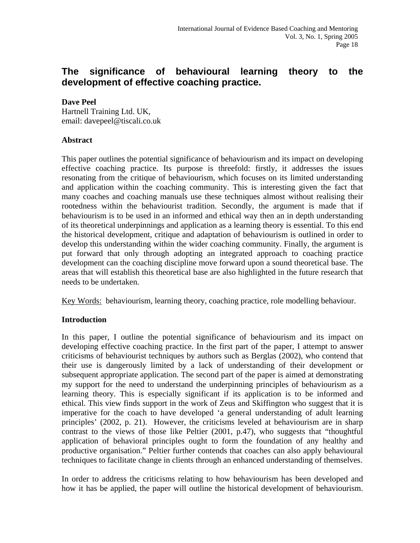# **The significance of behavioural learning theory to the development of effective coaching practice.**

# **Dave Peel**

Hartnell Training Ltd. UK, email: davepeel@tiscali.co.uk

#### **Abstract**

This paper outlines the potential significance of behaviourism and its impact on developing effective coaching practice. Its purpose is threefold: firstly, it addresses the issues resonating from the critique of behaviourism, which focuses on its limited understanding and application within the coaching community. This is interesting given the fact that many coaches and coaching manuals use these techniques almost without realising their rootedness within the behaviourist tradition. Secondly, the argument is made that if behaviourism is to be used in an informed and ethical way then an in depth understanding of its theoretical underpinnings and application as a learning theory is essential. To this end the historical development, critique and adaptation of behaviourism is outlined in order to develop this understanding within the wider coaching community. Finally, the argument is put forward that only through adopting an integrated approach to coaching practice development can the coaching discipline move forward upon a sound theoretical base. The areas that will establish this theoretical base are also highlighted in the future research that needs to be undertaken.

Key Words: behaviourism, learning theory, coaching practice, role modelling behaviour.

# **Introduction**

In this paper, I outline the potential significance of behaviourism and its impact on developing effective coaching practice. In the first part of the paper, I attempt to answer criticisms of behaviourist techniques by authors such as Berglas (2002), who contend that their use is dangerously limited by a lack of understanding of their development or subsequent appropriate application. The second part of the paper is aimed at demonstrating my support for the need to understand the underpinning principles of behaviourism as a learning theory. This is especially significant if its application is to be informed and ethical. This view finds support in the work of Zeus and Skiffington who suggest that it is imperative for the coach to have developed 'a general understanding of adult learning principles' (2002, p. 21). However, the criticisms leveled at behaviourism are in sharp contrast to the views of those like Peltier (2001, p.47), who suggests that "thoughtful application of behavioral principles ought to form the foundation of any healthy and productive organisation." Peltier further contends that coaches can also apply behavioural techniques to facilitate change in clients through an enhanced understanding of themselves.

In order to address the criticisms relating to how behaviourism has been developed and how it has be applied, the paper will outline the historical development of behaviourism.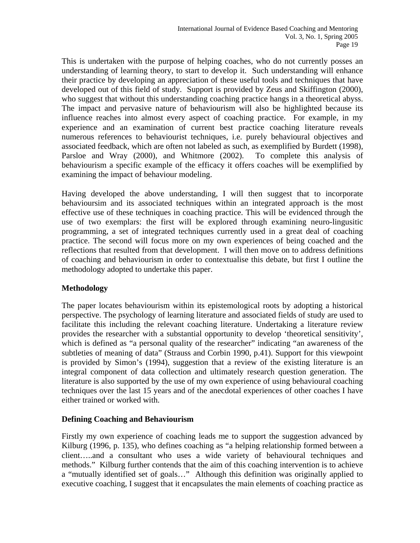This is undertaken with the purpose of helping coaches, who do not currently posses an understanding of learning theory, to start to develop it. Such understanding will enhance their practice by developing an appreciation of these useful tools and techniques that have developed out of this field of study. Support is provided by Zeus and Skiffington (2000), who suggest that without this understanding coaching practice hangs in a theoretical abyss. The impact and pervasive nature of behaviourism will also be highlighted because its influence reaches into almost every aspect of coaching practice. For example, in my experience and an examination of current best practice coaching literature reveals numerous references to behaviourist techniques, i.e. purely behavioural objectives and associated feedback, which are often not labeled as such, as exemplified by Burdett (1998), Parsloe and Wray (2000), and Whitmore (2002). To complete this analysis of behaviourism a specific example of the efficacy it offers coaches will be exemplified by examining the impact of behaviour modeling.

Having developed the above understanding, I will then suggest that to incorporate behavioursim and its associated techniques within an integrated approach is the most effective use of these techniques in coaching practice. This will be evidenced through the use of two exemplars: the first will be explored through examining neuro-lingusitic programming, a set of integrated techniques currently used in a great deal of coaching practice. The second will focus more on my own experiences of being coached and the reflections that resulted from that development. I will then move on to address definitions of coaching and behaviourism in order to contextualise this debate, but first I outline the methodology adopted to undertake this paper.

# **Methodology**

The paper locates behaviourism within its epistemological roots by adopting a historical perspective. The psychology of learning literature and associated fields of study are used to facilitate this including the relevant coaching literature. Undertaking a literature review provides the researcher with a substantial opportunity to develop 'theoretical sensitivity', which is defined as "a personal quality of the researcher" indicating "an awareness of the subtleties of meaning of data" (Strauss and Corbin 1990, p.41). Support for this viewpoint is provided by Simon's (1994), suggestion that a review of the existing literature is an integral component of data collection and ultimately research question generation. The literature is also supported by the use of my own experience of using behavioural coaching techniques over the last 15 years and of the anecdotal experiences of other coaches I have either trained or worked with.

# **Defining Coaching and Behaviourism**

Firstly my own experience of coaching leads me to support the suggestion advanced by Kilburg (1996, p. 135), who defines coaching as "a helping relationship formed between a client…..and a consultant who uses a wide variety of behavioural techniques and methods." Kilburg further contends that the aim of this coaching intervention is to achieve a "mutually identified set of goals…" Although this definition was originally applied to executive coaching, I suggest that it encapsulates the main elements of coaching practice as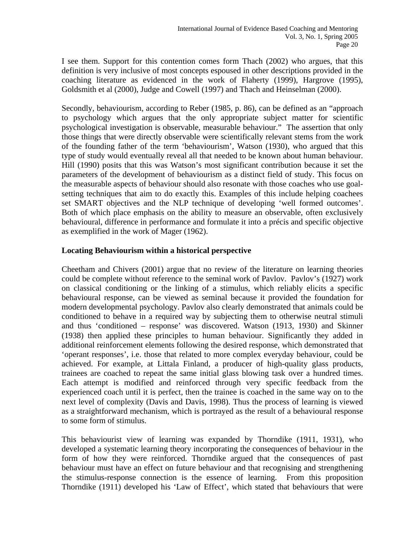I see them. Support for this contention comes form Thach (2002) who argues, that this definition is very inclusive of most concepts espoused in other descriptions provided in the coaching literature as evidenced in the work of Flaherty (1999), Hargrove (1995), Goldsmith et al (2000), Judge and Cowell (1997) and Thach and Heinselman (2000).

Secondly, behaviourism, according to Reber (1985, p. 86), can be defined as an "approach to psychology which argues that the only appropriate subject matter for scientific psychological investigation is observable, measurable behaviour." The assertion that only those things that were directly observable were scientifically relevant stems from the work of the founding father of the term 'behaviourism', Watson (1930), who argued that this type of study would eventually reveal all that needed to be known about human behaviour. Hill (1990) posits that this was Watson's most significant contribution because it set the parameters of the development of behaviourism as a distinct field of study. This focus on the measurable aspects of behaviour should also resonate with those coaches who use goalsetting techniques that aim to do exactly this. Examples of this include helping coachees set SMART objectives and the NLP technique of developing 'well formed outcomes'. Both of which place emphasis on the ability to measure an observable, often exclusively behavioural, difference in performance and formulate it into a précis and specific objective as exemplified in the work of Mager (1962).

#### **Locating Behaviourism within a historical perspective**

Cheetham and Chivers (2001) argue that no review of the literature on learning theories could be complete without reference to the seminal work of Pavlov. Pavlov's (1927) work on classical conditioning or the linking of a stimulus, which reliably elicits a specific behavioural response, can be viewed as seminal because it provided the foundation for modern developmental psychology. Pavlov also clearly demonstrated that animals could be conditioned to behave in a required way by subjecting them to otherwise neutral stimuli and thus 'conditioned – response' was discovered. Watson (1913, 1930) and Skinner (1938) then applied these principles to human behaviour. Significantly they added in additional reinforcement elements following the desired response, which demonstrated that 'operant responses', i.e. those that related to more complex everyday behaviour, could be achieved. For example, at Littala Finland, a producer of high-quality glass products, trainees are coached to repeat the same initial glass blowing task over a hundred times. Each attempt is modified and reinforced through very specific feedback from the experienced coach until it is perfect, then the trainee is coached in the same way on to the next level of complexity (Davis and Davis, 1998). Thus the process of learning is viewed as a straightforward mechanism, which is portrayed as the result of a behavioural response to some form of stimulus.

This behaviourist view of learning was expanded by Thorndike (1911, 1931), who developed a systematic learning theory incorporating the consequences of behaviour in the form of how they were reinforced. Thorndike argued that the consequences of past behaviour must have an effect on future behaviour and that recognising and strengthening the stimulus-response connection is the essence of learning. From this proposition Thorndike (1911) developed his 'Law of Effect', which stated that behaviours that were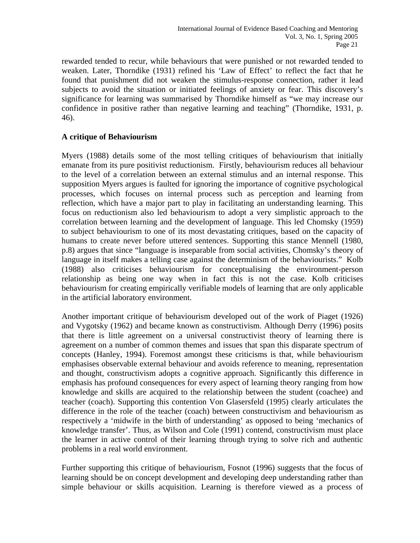rewarded tended to recur, while behaviours that were punished or not rewarded tended to weaken. Later, Thorndike (1931) refined his 'Law of Effect' to reflect the fact that he found that punishment did not weaken the stimulus-response connection, rather it lead subjects to avoid the situation or initiated feelings of anxiety or fear. This discovery's significance for learning was summarised by Thorndike himself as "we may increase our confidence in positive rather than negative learning and teaching" (Thorndike, 1931, p. 46).

#### **A critique of Behaviourism**

Myers (1988) details some of the most telling critiques of behaviourism that initially emanate from its pure positivist reductionism. Firstly, behaviourism reduces all behaviour to the level of a correlation between an external stimulus and an internal response. This supposition Myers argues is faulted for ignoring the importance of cognitive psychological processes, which focuses on internal process such as perception and learning from reflection, which have a major part to play in facilitating an understanding learning. This focus on reductionism also led behaviourism to adopt a very simplistic approach to the correlation between learning and the development of language. This led Chomsky (1959) to subject behaviourism to one of its most devastating critiques, based on the capacity of humans to create never before uttered sentences. Supporting this stance Mennell (1980, p.8) argues that since "language is inseparable from social activities, Chomsky's theory of language in itself makes a telling case against the determinism of the behaviourists." Kolb (1988) also criticises behaviourism for conceptualising the environment-person relationship as being one way when in fact this is not the case. Kolb criticises behaviourism for creating empirically verifiable models of learning that are only applicable in the artificial laboratory environment.

Another important critique of behaviourism developed out of the work of Piaget (1926) and Vygotsky (1962) and became known as constructivism. Although Derry (1996) posits that there is little agreement on a universal constructivist theory of learning there is agreement on a number of common themes and issues that span this disparate spectrum of concepts (Hanley, 1994). Foremost amongst these criticisms is that, while behaviourism emphasises observable external behaviour and avoids reference to meaning, representation and thought, constructivism adopts a cognitive approach. Significantly this difference in emphasis has profound consequences for every aspect of learning theory ranging from how knowledge and skills are acquired to the relationship between the student (coachee) and teacher (coach). Supporting this contention Von Glasersfeld (1995) clearly articulates the difference in the role of the teacher (coach) between constructivism and behaviourism as respectively a 'midwife in the birth of understanding' as opposed to being 'mechanics of knowledge transfer'. Thus, as Wilson and Cole (1991) contend, constructivism must place the learner in active control of their learning through trying to solve rich and authentic problems in a real world environment.

Further supporting this critique of behaviourism, Fosnot (1996) suggests that the focus of learning should be on concept development and developing deep understanding rather than simple behaviour or skills acquisition. Learning is therefore viewed as a process of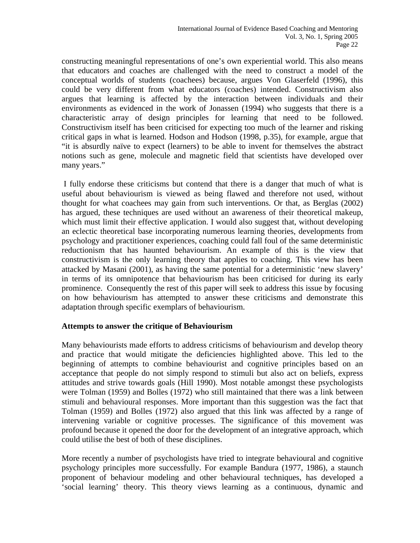constructing meaningful representations of one's own experiential world. This also means that educators and coaches are challenged with the need to construct a model of the conceptual worlds of students (coachees) because, argues Von Glaserfeld (1996), this could be very different from what educators (coaches) intended. Constructivism also argues that learning is affected by the interaction between individuals and their environments as evidenced in the work of Jonassen (1994) who suggests that there is a characteristic array of design principles for learning that need to be followed. Constructivism itself has been criticised for expecting too much of the learner and risking critical gaps in what is learned. Hodson and Hodson (1998, p.35), for example, argue that "it is absurdly naïve to expect (learners) to be able to invent for themselves the abstract notions such as gene, molecule and magnetic field that scientists have developed over many years."

 I fully endorse these criticisms but contend that there is a danger that much of what is useful about behaviourism is viewed as being flawed and therefore not used, without thought for what coachees may gain from such interventions. Or that, as Berglas (2002) has argued, these techniques are used without an awareness of their theoretical makeup, which must limit their effective application. I would also suggest that, without developing an eclectic theoretical base incorporating numerous learning theories, developments from psychology and practitioner experiences, coaching could fall foul of the same deterministic reductionism that has haunted behaviourism. An example of this is the view that constructivism is the only learning theory that applies to coaching. This view has been attacked by Masani (2001), as having the same potential for a deterministic 'new slavery' in terms of its omnipotence that behaviourism has been criticised for during its early prominence. Consequently the rest of this paper will seek to address this issue by focusing on how behaviourism has attempted to answer these criticisms and demonstrate this adaptation through specific exemplars of behaviourism.

#### **Attempts to answer the critique of Behaviourism**

Many behaviourists made efforts to address criticisms of behaviourism and develop theory and practice that would mitigate the deficiencies highlighted above. This led to the beginning of attempts to combine behaviourist and cognitive principles based on an acceptance that people do not simply respond to stimuli but also act on beliefs, express attitudes and strive towards goals (Hill 1990). Most notable amongst these psychologists were Tolman (1959) and Bolles (1972) who still maintained that there was a link between stimuli and behavioural responses. More important than this suggestion was the fact that Tolman (1959) and Bolles (1972) also argued that this link was affected by a range of intervening variable or cognitive processes. The significance of this movement was profound because it opened the door for the development of an integrative approach, which could utilise the best of both of these disciplines.

More recently a number of psychologists have tried to integrate behavioural and cognitive psychology principles more successfully. For example Bandura (1977, 1986), a staunch proponent of behaviour modeling and other behavioural techniques, has developed a 'social learning' theory. This theory views learning as a continuous, dynamic and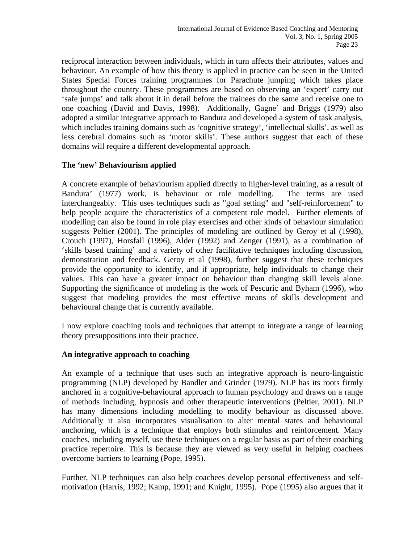reciprocal interaction between individuals, which in turn affects their attributes, values and behaviour. An example of how this theory is applied in practice can be seen in the United States Special Forces training programmes for Parachute jumping which takes place throughout the country. These programmes are based on observing an 'expert' carry out 'safe jumps' and talk about it in detail before the trainees do the same and receive one to one coaching (David and Davis, 1998). Additionally, Gagne´ and Briggs (1979) also adopted a similar integrative approach to Bandura and developed a system of task analysis, which includes training domains such as 'cognitive strategy', 'intellectual skills', as well as less cerebral domains such as 'motor skills'. These authors suggest that each of these domains will require a different developmental approach.

# **The 'new' Behaviourism applied**

A concrete example of behaviourism applied directly to higher-level training, as a result of Bandura' (1977) work, is behaviour or role modelling. The terms are used interchangeably. This uses techniques such as "goal setting" and "self-reinforcement" to help people acquire the characteristics of a competent role model. Further elements of modelling can also be found in role play exercises and other kinds of behaviour simulation suggests Peltier (2001). The principles of modeling are outlined by Geroy et al (1998), Crouch (1997), Horsfall (1996), Alder (1992) and Zenger (1991), as a combination of 'skills based training' and a variety of other facilitative techniques including discussion, demonstration and feedback. Geroy et al (1998), further suggest that these techniques provide the opportunity to identify, and if appropriate, help individuals to change their values. This can have a greater impact on behaviour than changing skill levels alone. Supporting the significance of modeling is the work of Pescuric and Byham (1996), who suggest that modeling provides the most effective means of skills development and behavioural change that is currently available.

I now explore coaching tools and techniques that attempt to integrate a range of learning theory presuppositions into their practice.

#### **An integrative approach to coaching**

An example of a technique that uses such an integrative approach is neuro-linguistic programming (NLP) developed by Bandler and Grinder (1979). NLP has its roots firmly anchored in a cognitive-behavioural approach to human psychology and draws on a range of methods including, hypnosis and other therapeutic interventions (Peltier, 2001). NLP has many dimensions including modelling to modify behaviour as discussed above. Additionally it also incorporates visualisation to alter mental states and behavioural anchoring, which is a technique that employs both stimulus and reinforcement. Many coaches, including myself, use these techniques on a regular basis as part of their coaching practice repertoire. This is because they are viewed as very useful in helping coachees overcome barriers to learning (Pope, 1995).

Further, NLP techniques can also help coachees develop personal effectiveness and selfmotivation (Harris, 1992; Kamp, 1991; and Knight, 1995). Pope (1995) also argues that it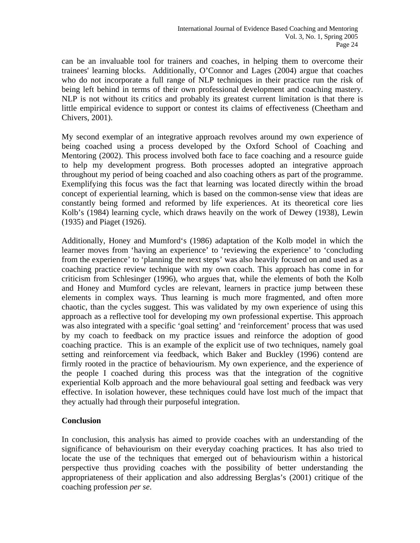can be an invaluable tool for trainers and coaches, in helping them to overcome their trainees' learning blocks. Additionally, O'Connor and Lages (2004) argue that coaches who do not incorporate a full range of NLP techniques in their practice run the risk of being left behind in terms of their own professional development and coaching mastery. NLP is not without its critics and probably its greatest current limitation is that there is little empirical evidence to support or contest its claims of effectiveness (Cheetham and Chivers, 2001).

My second exemplar of an integrative approach revolves around my own experience of being coached using a process developed by the Oxford School of Coaching and Mentoring (2002). This process involved both face to face coaching and a resource guide to help my development progress. Both processes adopted an integrative approach throughout my period of being coached and also coaching others as part of the programme. Exemplifying this focus was the fact that learning was located directly within the broad concept of experiential learning, which is based on the common-sense view that ideas are constantly being formed and reformed by life experiences. At its theoretical core lies Kolb's (1984) learning cycle, which draws heavily on the work of Dewey (1938), Lewin (1935) and Piaget (1926).

Additionally, Honey and Mumford's (1986) adaptation of the Kolb model in which the learner moves from 'having an experience' to 'reviewing the experience' to 'concluding from the experience' to 'planning the next steps' was also heavily focused on and used as a coaching practice review technique with my own coach. This approach has come in for criticism from Schlesinger (1996), who argues that, while the elements of both the Kolb and Honey and Mumford cycles are relevant, learners in practice jump between these elements in complex ways. Thus learning is much more fragmented, and often more chaotic, than the cycles suggest. This was validated by my own experience of using this approach as a reflective tool for developing my own professional expertise. This approach was also integrated with a specific 'goal setting' and 'reinforcement' process that was used by my coach to feedback on my practice issues and reinforce the adoption of good coaching practice. This is an example of the explicit use of two techniques, namely goal setting and reinforcement via feedback, which Baker and Buckley (1996) contend are firmly rooted in the practice of behaviourism. My own experience, and the experience of the people I coached during this process was that the integration of the cognitive experiential Kolb approach and the more behavioural goal setting and feedback was very effective. In isolation however, these techniques could have lost much of the impact that they actually had through their purposeful integration.

# **Conclusion**

In conclusion, this analysis has aimed to provide coaches with an understanding of the significance of behaviourism on their everyday coaching practices. It has also tried to locate the use of the techniques that emerged out of behaviourism within a historical perspective thus providing coaches with the possibility of better understanding the appropriateness of their application and also addressing Berglas's (2001) critique of the coaching profession *per se*.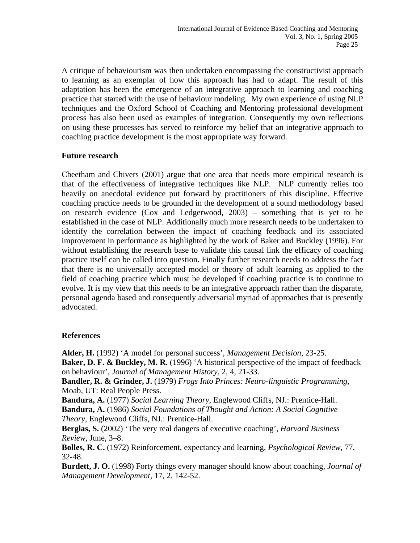A critique of behaviourism was then undertaken encompassing the constructivist approach to learning as an exemplar of how this approach has had to adapt. The result of this adaptation has been the emergence of an integrative approach to learning and coaching practice that started with the use of behaviour modeling. My own experience of using NLP techniques and the Oxford School of Coaching and Mentoring professional development process has also been used as examples of integration. Consequently my own reflections on using these processes has served to reinforce my belief that an integrative approach to coaching practice development is the most appropriate way forward.

# **Future research**

Cheetham and Chivers (2001) argue that one area that needs more empirical research is that of the effectiveness of integrative techniques like NLP. NLP currently relies too heavily on anecdotal evidence put forward by practitioners of this discipline. Effective coaching practice needs to be grounded in the development of a sound methodology based on research evidence (Cox and Ledgerwood, 2003) – something that is yet to be established in the case of NLP. Additionally much more research needs to be undertaken to identify the correlation between the impact of coaching feedback and its associated improvement in performance as highlighted by the work of Baker and Buckley (1996). For without establishing the research base to validate this causal link the efficacy of coaching practice itself can be called into question. Finally further research needs to address the fact that there is no universally accepted model or theory of adult learning as applied to the field of coaching practice which must be developed if coaching practice is to continue to evolve. It is my view that this needs to be an integrative approach rather than the disparate, personal agenda based and consequently adversarial myriad of approaches that is presently advocated.

# **References**

**Alder, H.** (1992) 'A model for personal success', *Management Decision,* 23-25.

**Baker, D. F. & Buckley, M. R.** (1996) 'A historical perspective of the impact of feedback on behaviour', *Journal of Management History,* 2, 4, 21-33.

**Bandler, R. & Grinder, J.** (1979) *Frogs Into Princes: Neuro-linguistic Programming*, Moab, UT: Real People Press.

**Bandura, A.** (1977) *Social Learning Theory,* Englewood Cliffs, NJ.: Prentice-Hall. **Bandura, A.** (1986) *Social Foundations of Thought and Action: A Social Cognitive Theory,* Englewood Cliffs, NJ.: Prentice-Hall.

**Berglas, S.** (2002) 'The very real dangers of executive coaching', *Harvard Business Review,* June, 3–8.

**Bolles, R. C.** (1972) Reinforcement, expectancy and learning, *Psychological Review,* 77, 32-48.

**Burdett, J. O.** (1998) Forty things every manager should know about coaching, *Journal of Management Development,* 17, 2, 142-52.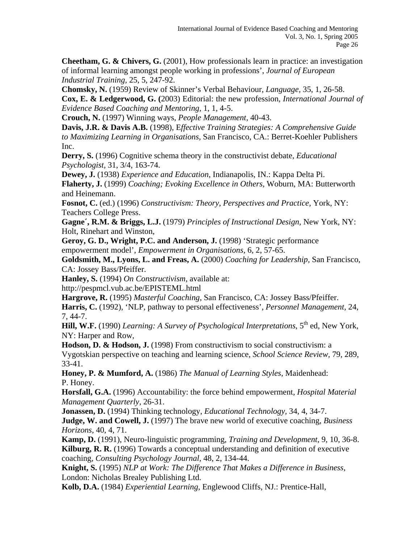**Cheetham, G. & Chivers, G.** (2001), How professionals learn in practice: an investigation of informal learning amongst people working in professions', *Journal of European Industrial Training,* 25, 5, 247-92.

**Chomsky, N.** (1959) Review of Skinner's Verbal Behaviour, *Language,* 35, 1, 26-58. **Cox, E. & Ledgerwood, G. (**2003) Editorial: the new profession, *International Journal of Evidence Based Coaching and Mentoring,* 1, 1, 4-5.

**Crouch, N.** (1997) Winning ways, *People Management,* 40-43.

**Davis, J.R. & Davis A.B.** (1998), E*ffective Training Strategies: A Comprehensive Guide to Maximizing Learning in Organisations,* San Francisco, CA.: Berret-Koehler Publishers Inc.

**Derry, S.** (1996) Cognitive schema theory in the constructivist debate, *Educational Psychologist,* 31, 3/4, 163-74.

**Dewey, J.** (1938) *Experience and Education*, Indianapolis, IN.: Kappa Delta Pi. **Flaherty, J.** (1999) *Coaching; Evoking Excellence in Others,* Woburn, MA: Butterworth and Heinemann.

**Fosnot, C.** (ed.) (1996) *Constructivism: Theory, Perspectives and Practice,* York, NY: Teachers College Press.

**Gagne´, R.M. & Briggs, L.J.** (1979) *Principles of Instructional Design*, New York, NY: Holt, Rinehart and Winston,

**Geroy, G. D., Wright, P.C. and Anderson, J.** (1998) 'Strategic performance empowerment model', *Empowerment in Organisations,* 6, 2, 57-65.

**Goldsmith, M., Lyons, L. and Freas, A.** (2000) *Coaching for Leadership,* San Francisco, CA: Jossey Bass/Pfeiffer.

**Hanley, S.** (1994) *On Constructivism,* available at:

http://pespmcl.vub.ac.be/EPISTEML.html

**Hargrove, R.** (1995) *Masterful Coaching,* San Francisco, CA: Jossey Bass/Pfeiffer.

**Harris, C.** (1992), 'NLP, pathway to personal effectiveness', *Personnel Management,* 24, 7, 44-7.

Hill, W.F. (1990) *Learning: A Survey of Psychological Interpretations*, 5<sup>th</sup> ed, New York, NY: Harper and Row,

**Hodson, D. & Hodson, J.** (1998) From constructivism to social constructivism: a Vygotskian perspective on teaching and learning science, *School Science Review,* 79, 289, 33-41.

**Honey, P. & Mumford, A.** (1986) *The Manual of Learning Styles*, Maidenhead: P. Honey.

**Horsfall, G.A.** (1996) Accountability: the force behind empowerment, *Hospital Material Management Quarterly,* 26-31.

**Jonassen, D.** (1994) Thinking technology, *Educational Technology,* 34, 4, 34-7. **Judge, W. and Cowell, J.** (1997) The brave new world of executive coaching, *Business Horizons,* 40, 4, 71.

**Kamp, D.** (1991), Neuro-linguistic programming, *Training and Development,* 9, 10, 36-8. **Kilburg, R. R.** (1996) Towards a conceptual understanding and definition of executive coaching, *Consulting Psychology Journal,* 48, 2, 134-44.

**Knight, S.** (1995) *NLP at Work: The Difference That Makes a Difference in Business*, London: Nicholas Brealey Publishing Ltd.

**Kolb, D.A.** (1984) *Experiential Learning*, Englewood Cliffs, NJ.: Prentice-Hall,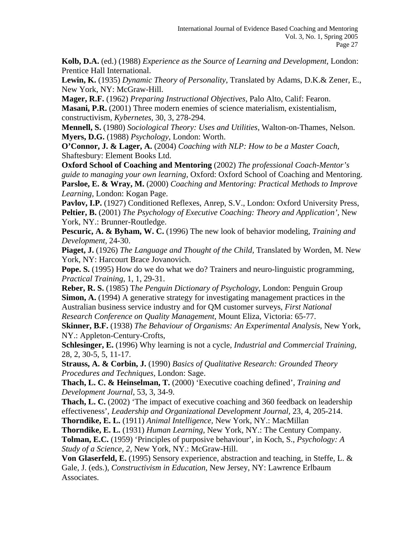**Kolb, D.A.** (ed.) (1988) *Experience as the Source of Learning and Development,* London: Prentice Hall International.

**Lewin, K.** (1935) *Dynamic Theory of Personality*, Translated by Adams, D.K.& Zener, E., New York, NY: McGraw-Hill.

**Mager, R.F.** (1962) *Preparing Instructional Objectives,* Palo Alto, Calif: Fearon. **Masani, P.R.** (2001) Three modern enemies of science materialism, existentialism, constructivism, *Kybernetes,* 30, 3, 278-294.

**Mennell, S.** (1980) *Sociological Theory: Uses and Utilities,* Walton-on-Thames, Nelson. **Myers, D.G.** (1988) *Psychology*, London: Worth.

**O'Connor, J. & Lager, A.** (2004) *Coaching with NLP: How to be a Master Coach,* Shaftesbury: Element Books Ltd.

**Oxford School of Coaching and Mentoring** (2002) *The professional Coach-Mentor's guide to managing your own learning*, Oxford: Oxford School of Coaching and Mentoring. **Parsloe, E. & Wray, M.** (2000) *Coaching and Mentoring: Practical Methods to Improve Learning,* London: Kogan Page.

Pavlov, I.P. (1927) Conditioned Reflexes, Anrep, S.V., London: Oxford University Press, **Peltier, B.** (2001) *The Psychology of Executive Coaching: Theory and Application',* New York, NY.: Brunner-Routledge.

**Pescuric, A. & Byham, W. C.** (1996) The new look of behavior modeling, *Training and Development,* 24-30.

**Piaget, J.** (1926) *The Language and Thought of the Child,* Translated by Worden, M. New York, NY: Harcourt Brace Jovanovich.

**Pope. S.** (1995) How do we do what we do? Trainers and neuro-linguistic programming, *Practical Training,* 1, 1, 29-31.

**Reber, R. S.** (1985) T*he Penguin Dictionary of Psychology,* London: Penguin Group **Simon, A.** (1994) A generative strategy for investigating management practices in the Australian business service industry and for QM customer surveys, *First National Research Conference on Quality Management,* Mount Eliza, Victoria: 65-77.

**Skinner, B.F.** (1938) *The Behaviour of Organisms: An Experimental Analysis*, New York, NY.: Appleton-Century-Crofts,

**Schlesinger, E.** (1996) Why learning is not a cycle, *Industrial and Commercial Training,*  28, 2, 30-5, 5, 11-17.

**Strauss, A. & Corbin, J.** (1990) *Basics of Qualitative Research: Grounded Theory Procedures and Techniques,* London: Sage.

**Thach, L. C. & Heinselman, T.** (2000) 'Executive coaching defined', *Training and Development Journal,* 53, 3, 34-9.

**Thach, L. C.** (2002) 'The impact of executive coaching and 360 feedback on leadership effectiveness', *Leadership and Organizational Development Journal,* 23, 4, 205-214.

**Thorndike, E. L.** (1911) *Animal Intelligence,* New York, NY.: MacMillan

**Thorndike, E. L.** (1931) *Human Learning,* New York, NY.: The Century Company. **Tolman, E.C.** (1959) 'Principles of purposive behaviour', in Koch, S., *Psychology: A* 

*Study of a Science, 2,* New York, NY.: McGraw-Hill.

**Von Glaserfeld, E.** (1995) Sensory experience, abstraction and teaching, in Steffe, L. & Gale, J. (eds.), *Constructivism in Education,* New Jersey, NY: Lawrence Erlbaum Associates.